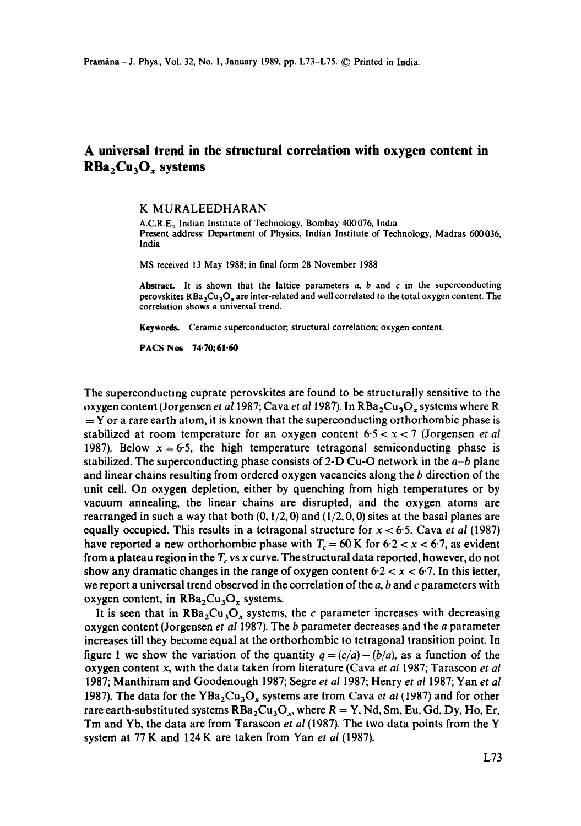## **A universal trend in the structural correlation with oxygen content in**  RBa<sub>2</sub>Cu<sub>3</sub>O<sub>x</sub> systems

## K MURALEEDHARAN

A.C.R.E., Indian Institute of Technology, Bombay 400076, India Present address: Department of Physics, Indian Institute of Technology, Madras 600036, India

MS received 13 May 1988; in final form 28 November 1988

Abstract. It is shown that the lattice parameters  $a$ ,  $b$  and  $c$  in the superconducting perovskites  $RBa<sub>2</sub>Cu<sub>3</sub>O<sub>x</sub>$  are inter-related and well correlated to the total oxygen content. The correlation shows a universal trend.

Keywords. Ceramic superconductor; structural correlation; oxygen content.

PACS Nos 74.70;61.60

The superconducting cuprate perovskites are found to be structurally sensitive to the oxygen content (Jorgensen *et al* 1987; Cava *et al* 1987). In RBa<sub>2</sub>Cu<sub>3</sub>O<sub>x</sub> systems where R  $=$  Y or a rare earth atom, it is known that the superconducting orthorhombic phase is stabilized at room temperature for an oxygen content 6-5 < x < 7 (Jorgensen *et al*  1987). Below  $x=6.5$ , the high temperature tetragonal semiconducting phase is stabilized. The superconducting phase consists of 2-D Cu-O network in the *a-b* plane and linear chains resulting from ordered oxygen vacancies along the b direction of the unit ceil. On oxygen depletion, either by quenching from high temperatures or by vacuum annealing, the linear chains are disrupted, and the oxygen atoms are rearranged in such a way that both  $(0, 1/2, 0)$  and  $(1/2, 0, 0)$  sites at the basal planes are equally occupied. This results in a tetragonal structure for  $x < 6.5$ . Cava *et al* (1987) have reported a new orthorhombic phase with  $T_c = 60$  K for  $6.2 < x < 6.7$ , as evident from a plateau region in the  $T<sub>c</sub>$  vs x curve. The structural data reported, however, do not show any dramatic changes in the range of oxygen content  $6.2 < x < 6.7$ . In this letter, we report a universal trend observed in the correlation of the  $a$ ,  $b$  and  $c$  parameters with oxygen content, in  $RBa<sub>2</sub>Cu<sub>3</sub>O<sub>x</sub>$  systems.

It is seen that in  $RBa<sub>2</sub>Cu<sub>3</sub>O<sub>x</sub>$  systems, the c parameter increases with decreasing oxygen content (Jorgensen *et al* 1987). The b parameter decreases and the a parameter increases till they become equal at the orthorhombic to tetragonal transition point. In figure 1 we show the variation of the quantity  $q = (c/a) - (b/a)$ , as a function of the oxygen content x, with the data taken from literature (Cava *et al* 1987; Tarascon *et al*  1987; Manthiram and Goodenough 1987; Segre *et al* 1987; Henry *et al* 1987; Yan *et al*  1987). The data for the YBa<sub>2</sub>Cu<sub>3</sub>O<sub>x</sub> systems are from Cava *et at* (1987) and for other rare earth-substituted systems  $RBa_2Cu_3O_x$ , where  $R = Y$ , Nd, Sm, Eu, Gd, Dy, Ho, Er, Tm and Yb, the data are from Tarascon *et al* (1987). The two data points from the Y system at 77 K and 124 K are taken from Yan *et al* (1987).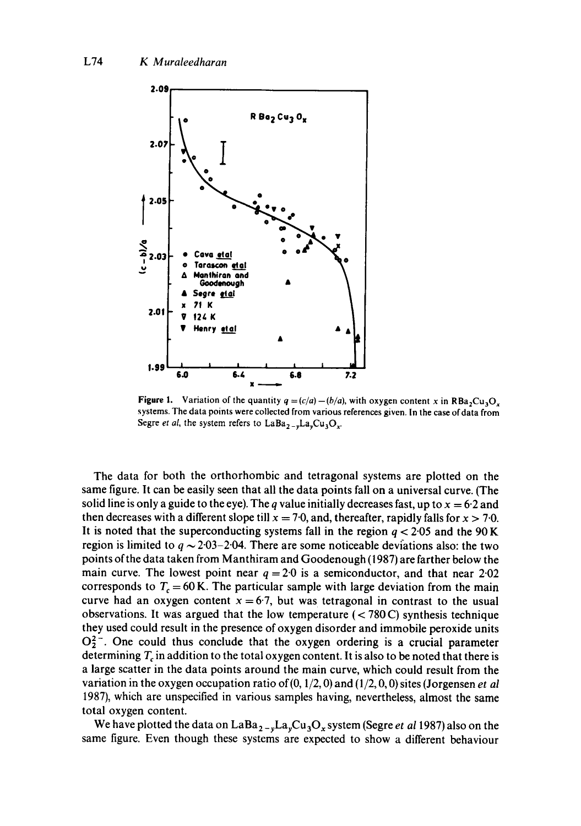

**Figure 1.** Variation of the quantity  $q = (c/a) - (b/a)$ , with oxygen content x in RBa<sub>2</sub>Cu<sub>3</sub>O<sub>x</sub> systems. The data points were collected from various references given. In the case of data from Segre *et al*, the system refers to  $LaBa_{2-y}La_yCu_3O_x$ .

The data for both the orthorhombic and tetragonal systems are plotted on the same figure. It can be easily seen that all the data points fall on a universal curve. (The solid line is only a guide to the eye). The q value initially decreases fast, up to  $x = 6.2$  and then decreases with a different slope till  $x = 7.0$ , and, thereafter, rapidly falls for  $x > 7.0$ . It is noted that the superconducting systems fall in the region  $q < 2.05$  and the 90 K region is limited to  $q \sim 2.03-2.04$ . There are some noticeable deviations also: the two points of the data taken from Manthiram and Goodenough (1987) are farther below the main curve. The lowest point near  $q = 2.0$  is a semiconductor, and that near 2.02 corresponds to  $T_c = 60$  K. The particular sample with large deviation from the main curve had an oxygen content  $x = 6.7$ , but was tetragonal in contrast to the usual observations. It was argued that the low temperature  $(< 780 \text{ C})$  synthesis technique they used could result in the presence of oxygen disorder and immobile peroxide units  $O_2^2$ . One could thus conclude that the oxygen ordering is a crucial parameter determining  $T_c$  in addition to the total oxygen content. It is also to be noted that there is a large scatter in the data points around the main curve, which could result from the variation in the oxygen occupation ratio of(0, 1/2, 0) and (1/2, 0, 0) sites (Jorgensen *et al*  1987), which are unspecified in various samples having, nevertheless, almost the same total oxygen content.

We have plotted the data on  $LaBa_{2-y}La_yCu_3O_x$  system (Segre *et al* 1987) also on the same figure. Even though these systems are expected to show a different behaviour